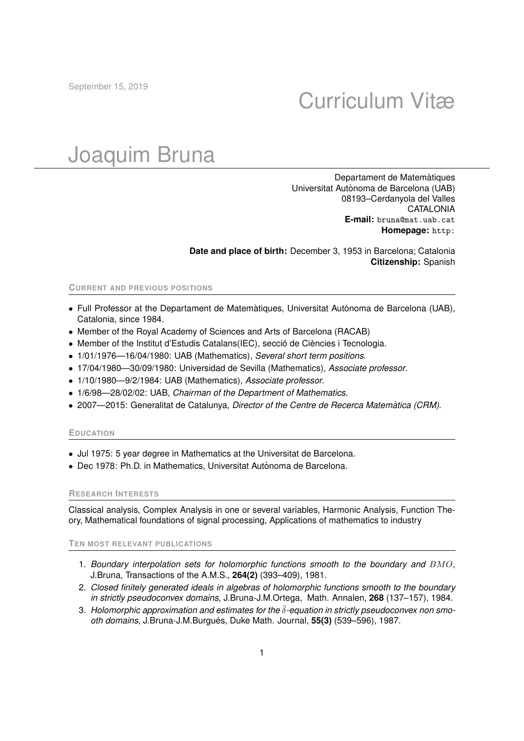## Curriculum Vitæ

# Joaquim Bruna

Departament de Matemàtiques Universitat Autònoma de Barcelona (UAB) 08193–Cerdanyola del Valles CATALONIA **E-mail:** bruna@mat.uab.cat **Homepage:** http:

**Date and place of birth:** December 3, 1953 in Barcelona; Catalonia **Citizenship:** Spanish

#### **CURRENT AND PREVIOUS POSITIONS**

- $\bullet$  Full Professor at the Departament de Matemàtiques, Universitat Autònoma de Barcelona (UAB), Catalonia, since 1984.
- Member of the Royal Academy of Sciences and Arts of Barcelona (RACAB)
- Member of the Institut d'Estudis Catalans(IEC), secció de Ciències i Tecnologia.
- 1/01/1976—16/04/1980: UAB (Mathematics), *Several short term positions*.
- 17/04/1980—30/09/1980: Universidad de Sevilla (Mathematics), *Associate professor*.
- 1/10/1980—9/2/1984: UAB (Mathematics), *Associate professor*.
- 1/6/98—28/02/02: UAB, *Chairman of the Department of Mathematics*.
- 2007—2015: Generalitat de Catalunya, *Director of the Centre de Recerca Matematica (CRM) `* .

#### **EDUCATION**

- Jul 1975: 5 year degree in Mathematics at the Universitat de Barcelona.
- Dec 1978: Ph.D. in Mathematics, Universitat Autònoma de Barcelona.

#### **RESEARCH INTERESTS**

Classical analysis, Complex Analysis in one or several variables, Harmonic Analysis, Function Theory, Mathematical foundations of signal processing, Applications of mathematics to industry

### **TEN MOST RELEVANT PUBLICATIONS**

- 1. *Boundary interpolation sets for holomorphic functions smooth to the boundary and* BMO, J.Bruna, Transactions of the A.M.S., **264(2)** (393–409), 1981.
- 2. *Closed finitely generated ideals in algebras of holomorphic functions smooth to the boundary in strictly pseudoconvex domains*, J.Bruna-J.M.Ortega, Math. Annalen, **268** (137–157), 1984.
- 3. *Holomorphic approximation and estimates for the*  $\bar{\delta}$ -equation in strictly pseudoconvex non smo*oth domains*, J.Bruna-J.M.Burgués, Duke Math. Journal, 55(3) (539–596), 1987.